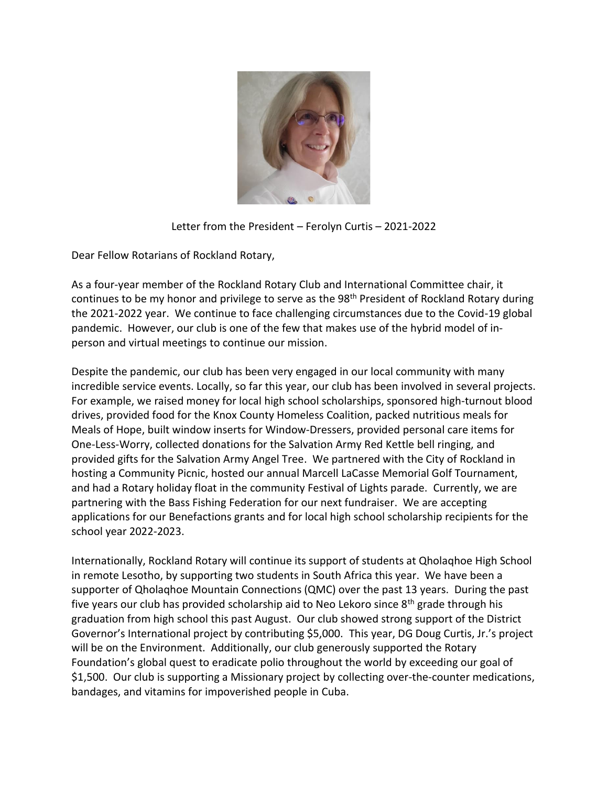

Letter from the President – Ferolyn Curtis – 2021-2022

Dear Fellow Rotarians of Rockland Rotary,

As a four-year member of the Rockland Rotary Club and International Committee chair, it continues to be my honor and privilege to serve as the 98<sup>th</sup> President of Rockland Rotary during the 2021-2022 year. We continue to face challenging circumstances due to the Covid-19 global pandemic. However, our club is one of the few that makes use of the hybrid model of inperson and virtual meetings to continue our mission.

Despite the pandemic, our club has been very engaged in our local community with many incredible service events. Locally, so far this year, our club has been involved in several projects. For example, we raised money for local high school scholarships, sponsored high-turnout blood drives, provided food for the Knox County Homeless Coalition, packed nutritious meals for Meals of Hope, built window inserts for Window-Dressers, provided personal care items for One-Less-Worry, collected donations for the Salvation Army Red Kettle bell ringing, and provided gifts for the Salvation Army Angel Tree. We partnered with the City of Rockland in hosting a Community Picnic, hosted our annual Marcell LaCasse Memorial Golf Tournament, and had a Rotary holiday float in the community Festival of Lights parade. Currently, we are partnering with the Bass Fishing Federation for our next fundraiser. We are accepting applications for our Benefactions grants and for local high school scholarship recipients for the school year 2022-2023.

Internationally, Rockland Rotary will continue its support of students at Qholaqhoe High School in remote Lesotho, by supporting two students in South Africa this year. We have been a supporter of Qholaqhoe Mountain Connections (QMC) over the past 13 years. During the past five years our club has provided scholarship aid to Neo Lekoro since  $8<sup>th</sup>$  grade through his graduation from high school this past August. Our club showed strong support of the District Governor's International project by contributing \$5,000. This year, DG Doug Curtis, Jr.'s project will be on the Environment. Additionally, our club generously supported the Rotary Foundation's global quest to eradicate polio throughout the world by exceeding our goal of \$1,500. Our club is supporting a Missionary project by collecting over-the-counter medications, bandages, and vitamins for impoverished people in Cuba.